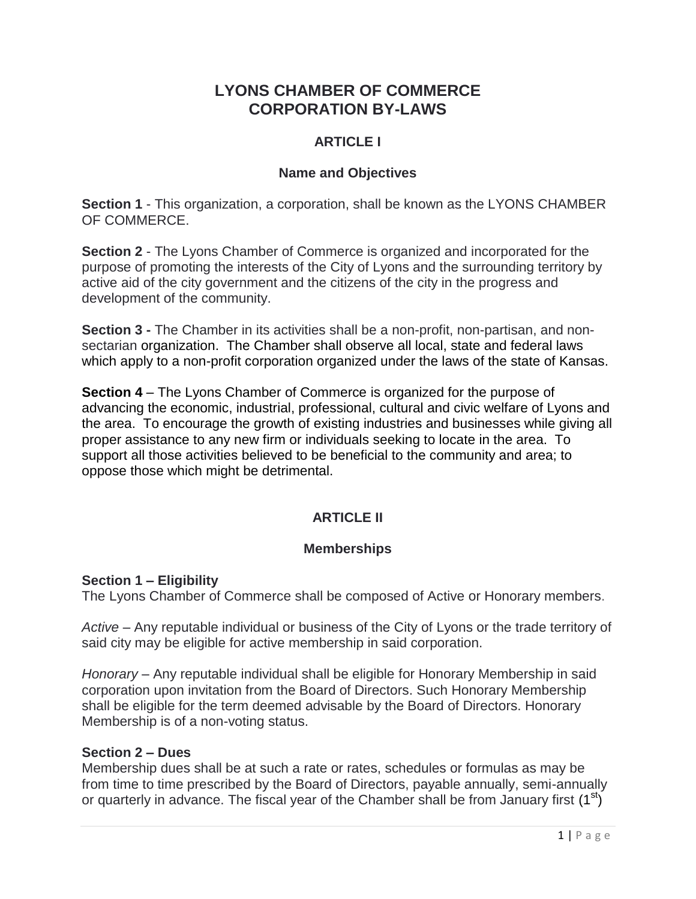# **LYONS CHAMBER OF COMMERCE CORPORATION BY-LAWS**

# **ARTICLE I**

# **Name and Objectives**

**Section 1** - This organization, a corporation, shall be known as the LYONS CHAMBER OF COMMERCE.

**Section 2** - The Lyons Chamber of Commerce is organized and incorporated for the purpose of promoting the interests of the City of Lyons and the surrounding territory by active aid of the city government and the citizens of the city in the progress and development of the community.

**Section 3 -** The Chamber in its activities shall be a non-profit, non-partisan, and nonsectarian organization. The Chamber shall observe all local, state and federal laws which apply to a non-profit corporation organized under the laws of the state of Kansas.

**Section 4** – The Lyons Chamber of Commerce is organized for the purpose of advancing the economic, industrial, professional, cultural and civic welfare of Lyons and the area. To encourage the growth of existing industries and businesses while giving all proper assistance to any new firm or individuals seeking to locate in the area. To support all those activities believed to be beneficial to the community and area; to oppose those which might be detrimental.

# **ARTICLE II**

# **Memberships**

## **Section 1 – Eligibility**

The Lyons Chamber of Commerce shall be composed of Active or Honorary members.

*Active* – Any reputable individual or business of the City of Lyons or the trade territory of said city may be eligible for active membership in said corporation.

*Honorary* – Any reputable individual shall be eligible for Honorary Membership in said corporation upon invitation from the Board of Directors. Such Honorary Membership shall be eligible for the term deemed advisable by the Board of Directors. Honorary Membership is of a non-voting status.

## **Section 2 – Dues**

Membership dues shall be at such a rate or rates, schedules or formulas as may be from time to time prescribed by the Board of Directors, payable annually, semi-annually or quarterly in advance. The fiscal year of the Chamber shall be from January first  $(1<sup>st</sup>)$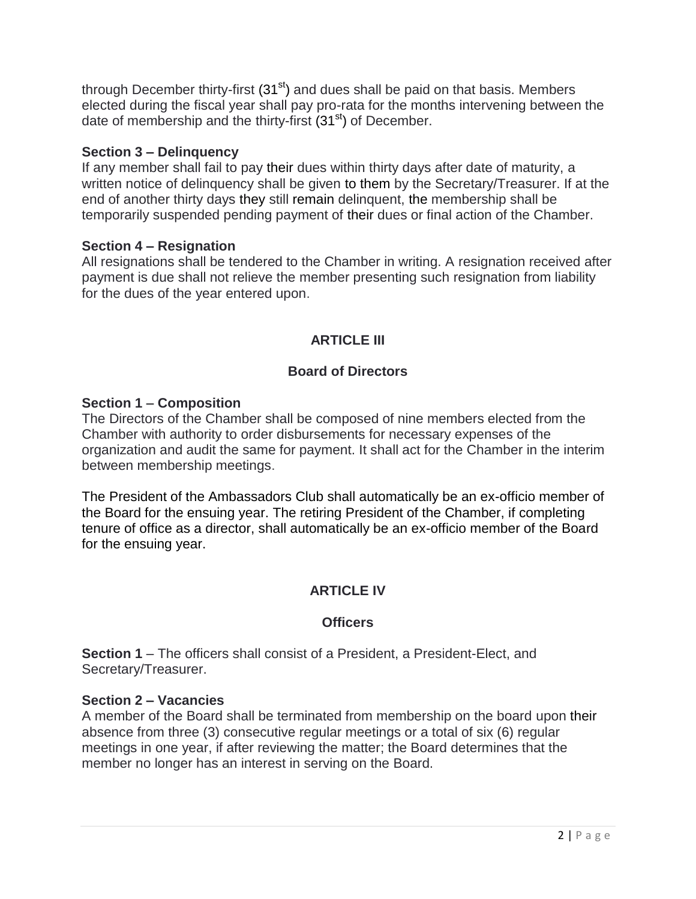through December thirty-first (31<sup>st</sup>) and dues shall be paid on that basis. Members elected during the fiscal year shall pay pro-rata for the months intervening between the date of membership and the thirty-first  $(31<sup>st</sup>)$  of December.

## **Section 3 – Delinquency**

If any member shall fail to pay their dues within thirty days after date of maturity, a written notice of delinquency shall be given to them by the Secretary/Treasurer. If at the end of another thirty days they still remain delinquent, the membership shall be temporarily suspended pending payment of their dues or final action of the Chamber.

## **Section 4 – Resignation**

All resignations shall be tendered to the Chamber in writing. A resignation received after payment is due shall not relieve the member presenting such resignation from liability for the dues of the year entered upon.

# **ARTICLE III**

# **Board of Directors**

# **Section 1 – Composition**

The Directors of the Chamber shall be composed of nine members elected from the Chamber with authority to order disbursements for necessary expenses of the organization and audit the same for payment. It shall act for the Chamber in the interim between membership meetings.

The President of the Ambassadors Club shall automatically be an ex-officio member of the Board for the ensuing year. The retiring President of the Chamber, if completing tenure of office as a director, shall automatically be an ex-officio member of the Board for the ensuing year.

# **ARTICLE IV**

# **Officers**

**Section 1** – The officers shall consist of a President, a President-Elect, and Secretary/Treasurer.

## **Section 2 – Vacancies**

A member of the Board shall be terminated from membership on the board upon their absence from three (3) consecutive regular meetings or a total of six (6) regular meetings in one year, if after reviewing the matter; the Board determines that the member no longer has an interest in serving on the Board.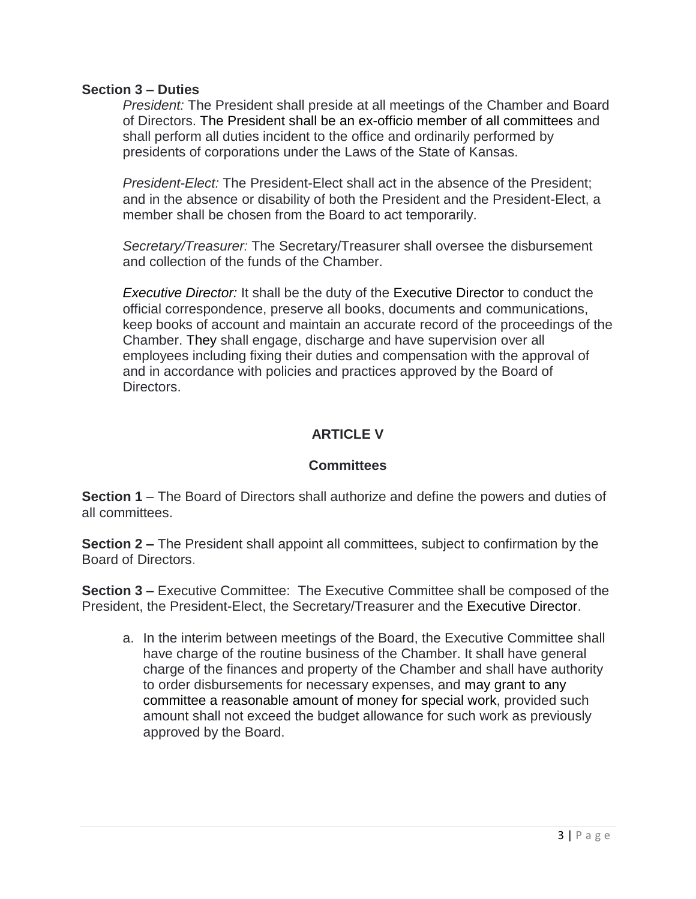#### **Section 3 – Duties**

*President:* The President shall preside at all meetings of the Chamber and Board of Directors. The President shall be an ex-officio member of all committees and shall perform all duties incident to the office and ordinarily performed by presidents of corporations under the Laws of the State of Kansas.

*President-Elect:* The President-Elect shall act in the absence of the President; and in the absence or disability of both the President and the President-Elect, a member shall be chosen from the Board to act temporarily.

*Secretary/Treasurer:* The Secretary/Treasurer shall oversee the disbursement and collection of the funds of the Chamber.

*Executive Director:* It shall be the duty of the Executive Director to conduct the official correspondence, preserve all books, documents and communications, keep books of account and maintain an accurate record of the proceedings of the Chamber. They shall engage, discharge and have supervision over all employees including fixing their duties and compensation with the approval of and in accordance with policies and practices approved by the Board of Directors.

# **ARTICLE V**

## **Committees**

**Section 1** – The Board of Directors shall authorize and define the powers and duties of all committees.

**Section 2 –** The President shall appoint all committees, subject to confirmation by the Board of Directors.

**Section 3 –** Executive Committee: The Executive Committee shall be composed of the President, the President-Elect, the Secretary/Treasurer and the Executive Director.

a. In the interim between meetings of the Board, the Executive Committee shall have charge of the routine business of the Chamber. It shall have general charge of the finances and property of the Chamber and shall have authority to order disbursements for necessary expenses, and may grant to any committee a reasonable amount of money for special work, provided such amount shall not exceed the budget allowance for such work as previously approved by the Board.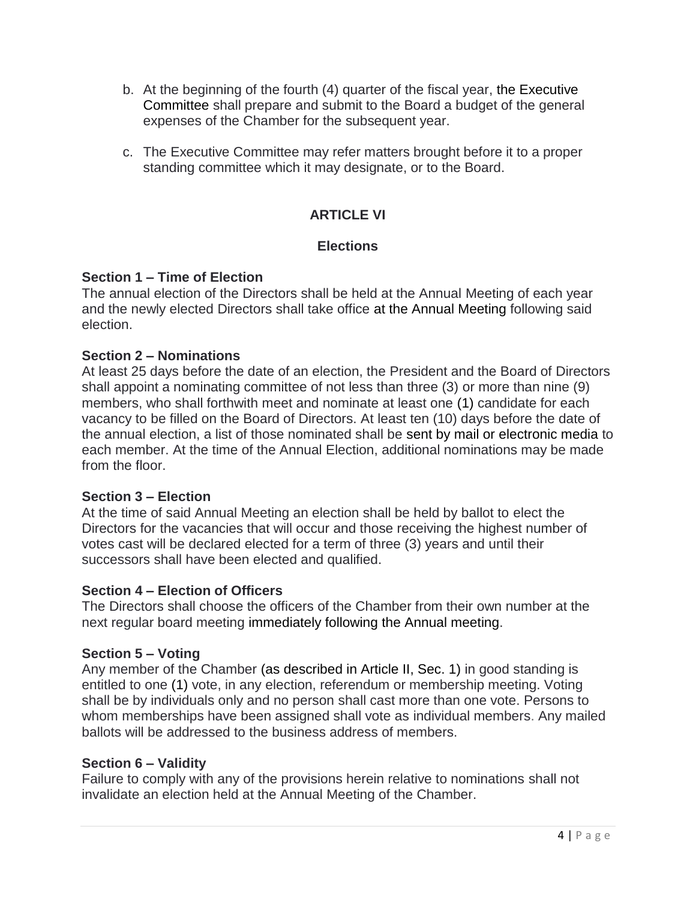- b. At the beginning of the fourth (4) quarter of the fiscal year, the Executive Committee shall prepare and submit to the Board a budget of the general expenses of the Chamber for the subsequent year.
- c. The Executive Committee may refer matters brought before it to a proper standing committee which it may designate, or to the Board.

# **ARTICLE VI**

# **Elections**

## **Section 1 – Time of Election**

The annual election of the Directors shall be held at the Annual Meeting of each year and the newly elected Directors shall take office at the Annual Meeting following said election.

## **Section 2 – Nominations**

At least 25 days before the date of an election, the President and the Board of Directors shall appoint a nominating committee of not less than three (3) or more than nine (9) members, who shall forthwith meet and nominate at least one (1) candidate for each vacancy to be filled on the Board of Directors. At least ten (10) days before the date of the annual election, a list of those nominated shall be sent by mail or electronic media to each member. At the time of the Annual Election, additional nominations may be made from the floor.

## **Section 3 – Election**

At the time of said Annual Meeting an election shall be held by ballot to elect the Directors for the vacancies that will occur and those receiving the highest number of votes cast will be declared elected for a term of three (3) years and until their successors shall have been elected and qualified.

## **Section 4 – Election of Officers**

The Directors shall choose the officers of the Chamber from their own number at the next regular board meeting immediately following the Annual meeting.

# **Section 5 – Voting**

Any member of the Chamber (as described in Article II, Sec. 1) in good standing is entitled to one (1) vote, in any election, referendum or membership meeting. Voting shall be by individuals only and no person shall cast more than one vote. Persons to whom memberships have been assigned shall vote as individual members. Any mailed ballots will be addressed to the business address of members.

## **Section 6 – Validity**

Failure to comply with any of the provisions herein relative to nominations shall not invalidate an election held at the Annual Meeting of the Chamber.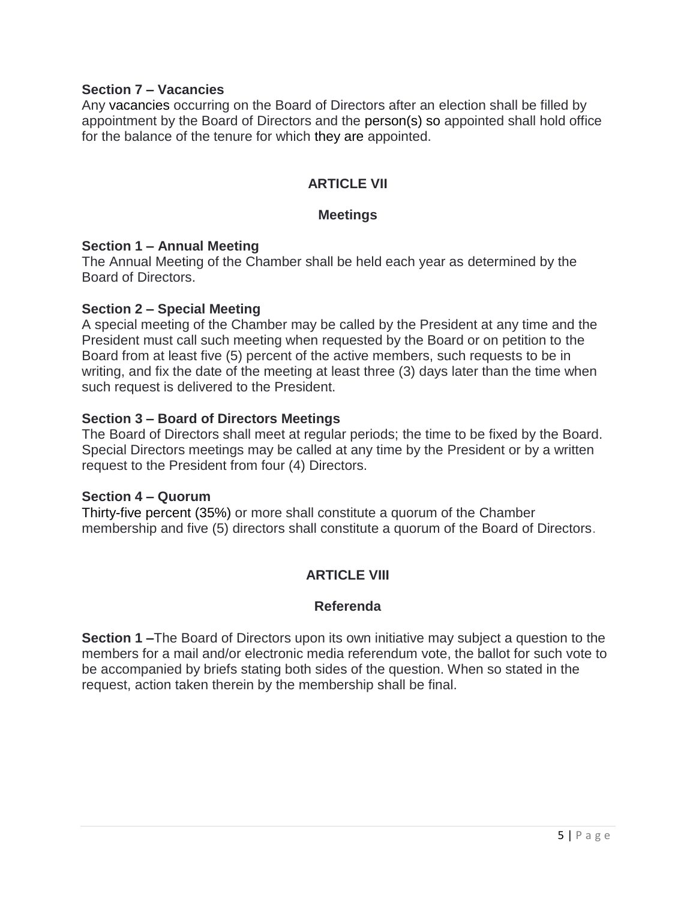#### **Section 7 – Vacancies**

Any vacancies occurring on the Board of Directors after an election shall be filled by appointment by the Board of Directors and the person(s) so appointed shall hold office for the balance of the tenure for which they are appointed.

## **ARTICLE VII**

#### **Meetings**

#### **Section 1 – Annual Meeting**

The Annual Meeting of the Chamber shall be held each year as determined by the Board of Directors.

#### **Section 2 – Special Meeting**

A special meeting of the Chamber may be called by the President at any time and the President must call such meeting when requested by the Board or on petition to the Board from at least five (5) percent of the active members, such requests to be in writing, and fix the date of the meeting at least three (3) days later than the time when such request is delivered to the President.

#### **Section 3 – Board of Directors Meetings**

The Board of Directors shall meet at regular periods; the time to be fixed by the Board. Special Directors meetings may be called at any time by the President or by a written request to the President from four (4) Directors.

#### **Section 4 – Quorum**

Thirty-five percent (35%) or more shall constitute a quorum of the Chamber membership and five (5) directors shall constitute a quorum of the Board of Directors.

## **ARTICLE VIII**

#### **Referenda**

**Section 1 –**The Board of Directors upon its own initiative may subject a question to the members for a mail and/or electronic media referendum vote, the ballot for such vote to be accompanied by briefs stating both sides of the question. When so stated in the request, action taken therein by the membership shall be final.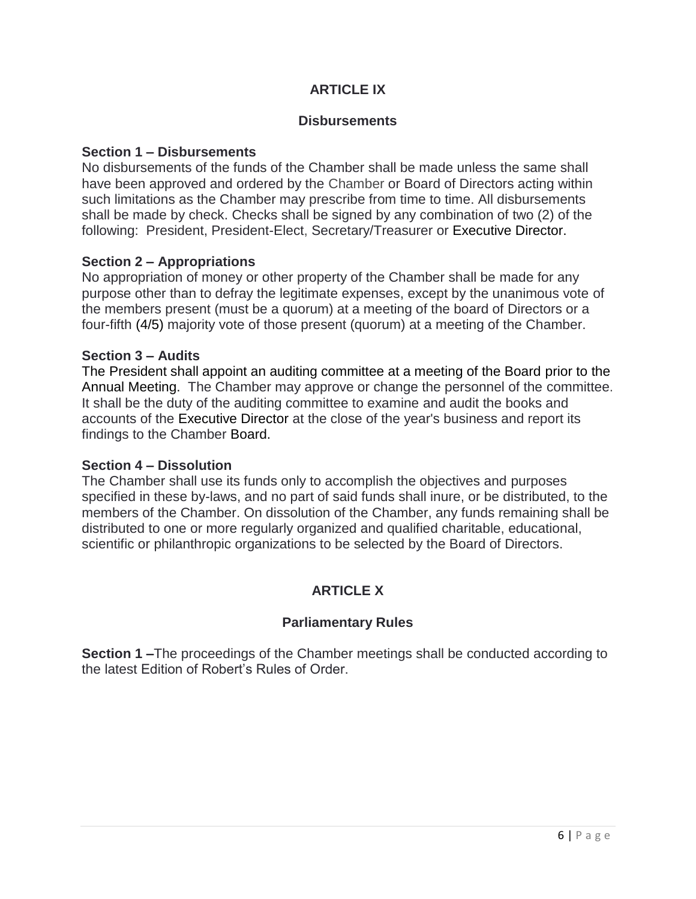# **ARTICLE IX**

#### **Disbursements**

#### **Section 1 – Disbursements**

No disbursements of the funds of the Chamber shall be made unless the same shall have been approved and ordered by the Chamber or Board of Directors acting within such limitations as the Chamber may prescribe from time to time. All disbursements shall be made by check. Checks shall be signed by any combination of two (2) of the following: President, President-Elect, Secretary/Treasurer or Executive Director.

## **Section 2 – Appropriations**

No appropriation of money or other property of the Chamber shall be made for any purpose other than to defray the legitimate expenses, except by the unanimous vote of the members present (must be a quorum) at a meeting of the board of Directors or a four-fifth (4/5) majority vote of those present (quorum) at a meeting of the Chamber.

#### **Section 3 – Audits**

The President shall appoint an auditing committee at a meeting of the Board prior to the Annual Meeting. The Chamber may approve or change the personnel of the committee. It shall be the duty of the auditing committee to examine and audit the books and accounts of the Executive Director at the close of the year's business and report its findings to the Chamber Board.

#### **Section 4 – Dissolution**

The Chamber shall use its funds only to accomplish the objectives and purposes specified in these by-laws, and no part of said funds shall inure, or be distributed, to the members of the Chamber. On dissolution of the Chamber, any funds remaining shall be distributed to one or more regularly organized and qualified charitable, educational, scientific or philanthropic organizations to be selected by the Board of Directors.

## **ARTICLE X**

## **Parliamentary Rules**

**Section 1 –**The proceedings of the Chamber meetings shall be conducted according to the latest Edition of Robert's Rules of Order.